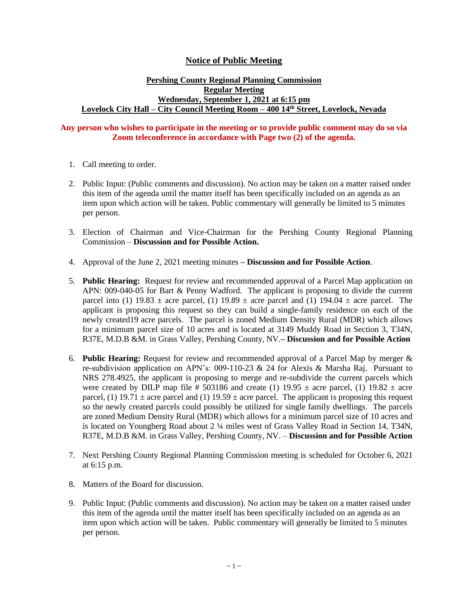## **Notice of Public Meeting**

## **Pershing County Regional Planning Commission Regular Meeting Wednesday, September 1, 2021 at 6:15 pm Lovelock City Hall – City Council Meeting Room – 400 14th Street, Lovelock, Nevada**

## **Any person who wishes to participate in the meeting or to provide public comment may do so via Zoom teleconference in accordance with Page two (2) of the agenda.**

- 1. Call meeting to order.
- 2. Public Input: (Public comments and discussion). No action may be taken on a matter raised under this item of the agenda until the matter itself has been specifically included on an agenda as an item upon which action will be taken. Public commentary will generally be limited to 5 minutes per person.
- 3. Election of Chairman and Vice-Chairman for the Pershing County Regional Planning Commission – **Discussion and for Possible Action.**
- 4. Approval of the June 2, 2021 meeting minutes **– Discussion and for Possible Action**.
- 5. **Public Hearing:** Request for review and recommended approval of a Parcel Map application on APN: 009-040-05 for Bart & Penny Wadford. The applicant is proposing to divide the current parcel into (1) 19.83  $\pm$  acre parcel, (1) 19.89  $\pm$  acre parcel and (1) 194.04  $\pm$  acre parcel. The applicant is proposing this request so they can build a single-family residence on each of the newly created19 acre parcels. The parcel is zoned Medium Density Rural (MDR) which allows for a minimum parcel size of 10 acres and is located at 3149 Muddy Road in Section 3, T34N, R37E, M.D.B &M. in Grass Valley, Pershing County, NV.**– Discussion and for Possible Action**
- 6. **Public Hearing:** Request for review and recommended approval of a Parcel Map by merger & re-subdivision application on APN's: 009-110-23  $\&$  24 for Alexis  $\&$  Marsha Raj. Pursuant to NRS 278.4925, the applicant is proposing to merge and re-subdivide the current parcels which were created by DILP map file # 503186 and create (1) 19.95  $\pm$  acre parcel, (1) 19.82  $\pm$  acre parcel, (1) 19.71  $\pm$  acre parcel and (1) 19.59  $\pm$  acre parcel. The applicant is proposing this request so the newly created parcels could possibly be utilized for single family dwellings. The parcels are zoned Medium Density Rural (MDR) which allows for a minimum parcel size of 10 acres and is located on Youngberg Road about 2 ¼ miles west of Grass Valley Road in Section 14, T34N, R37E, M.D.B &M. in Grass Valley, Pershing County, NV. – **Discussion and for Possible Action**
- 7. Next Pershing County Regional Planning Commission meeting is scheduled for October 6, 2021 at 6:15 p.m.
- 8. Matters of the Board for discussion.
- 9. Public Input: (Public comments and discussion). No action may be taken on a matter raised under this item of the agenda until the matter itself has been specifically included on an agenda as an item upon which action will be taken. Public commentary will generally be limited to 5 minutes per person.